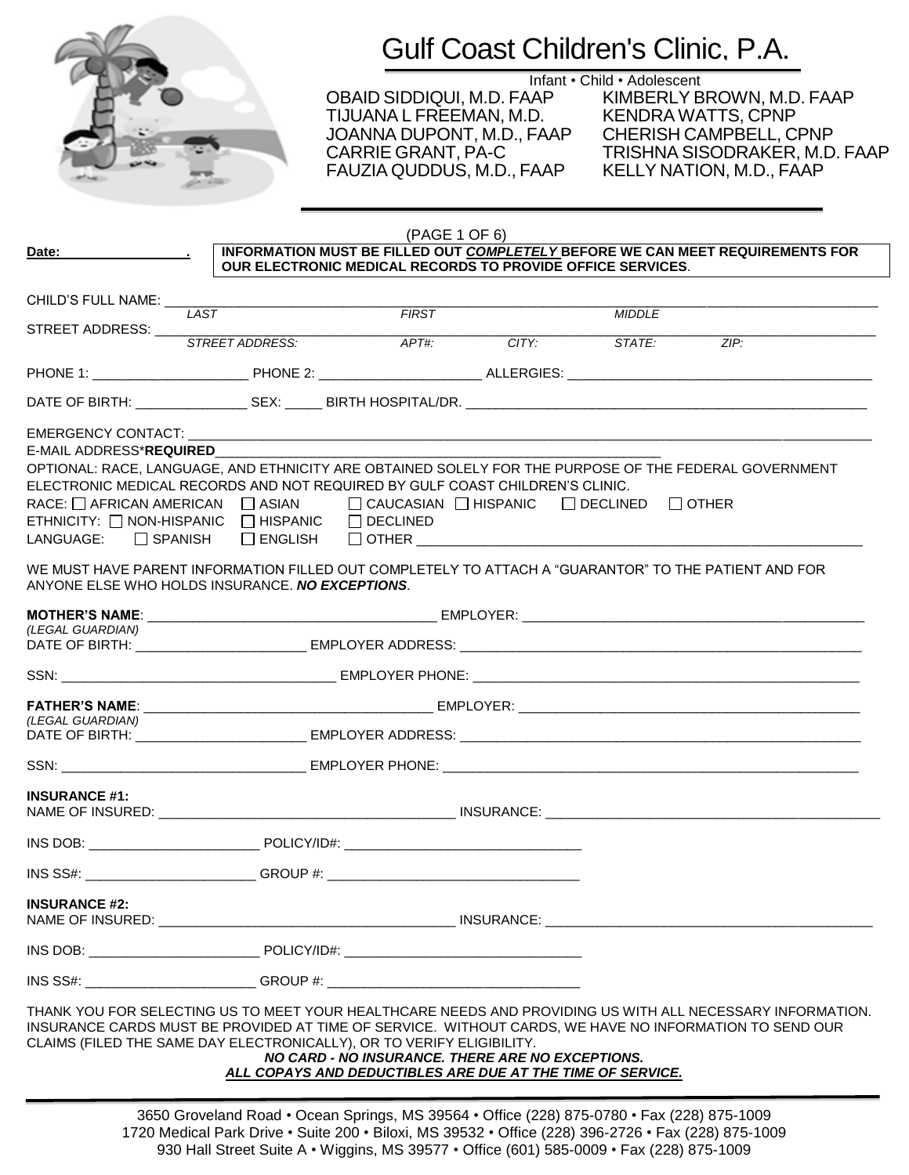

Infant • Child • Adolescent<br>OBAID SIDDIQUI, M.D. FAAP KIMBERLY B TIJUANA L FREEMAN, M.D. JOANNA DUPONT, M.D., FAAP CHERISH CAMPBELL, CPNP FAUZIA QUDDUS, M.D., FAAP

KIMBERLY BROWN, M.D. FAAP<br>KENDRA WATTS, CPNP TRISHNA SISODRAKER, M.D. FAAP<br>KELLY NATION, M.D., FAAP

| Date:                                                                                                                                           |                 | (PAGE 1 OF 6)                                                                                                                                                                                                                                                                                                     |       |               | INFORMATION MUST BE FILLED OUT COMPLETELY BEFORE WE CAN MEET REQUIREMENTS FOR                             |
|-------------------------------------------------------------------------------------------------------------------------------------------------|-----------------|-------------------------------------------------------------------------------------------------------------------------------------------------------------------------------------------------------------------------------------------------------------------------------------------------------------------|-------|---------------|-----------------------------------------------------------------------------------------------------------|
|                                                                                                                                                 |                 | OUR ELECTRONIC MEDICAL RECORDS TO PROVIDE OFFICE SERVICES.                                                                                                                                                                                                                                                        |       |               |                                                                                                           |
| CHILD'S FULL NAME: _____                                                                                                                        | LAST            | FIRST                                                                                                                                                                                                                                                                                                             |       |               |                                                                                                           |
| STREET ADDRESS:                                                                                                                                 | STREET ADDRESS: |                                                                                                                                                                                                                                                                                                                   |       | <b>MIDDLE</b> |                                                                                                           |
|                                                                                                                                                 |                 | APT#:                                                                                                                                                                                                                                                                                                             | CITY. | STATE:        | ZIP                                                                                                       |
|                                                                                                                                                 |                 |                                                                                                                                                                                                                                                                                                                   |       |               |                                                                                                           |
|                                                                                                                                                 |                 |                                                                                                                                                                                                                                                                                                                   |       |               |                                                                                                           |
| E-MAIL ADDRESS* <b>REQUIRED</b><br>ETHNICITY: $\Box$ NON-HISPANIC $\Box$ HISPANIC $\Box$ DECLINED<br>$L$ ANGUAGE: $\Box$ SPANISH $\Box$ ENGLISH |                 | OPTIONAL: RACE, LANGUAGE, AND ETHNICITY ARE OBTAINED SOLELY FOR THE PURPOSE OF THE FEDERAL GOVERNMENT<br>ELECTRONIC MEDICAL RECORDS AND NOT REQUIRED BY GULF COAST CHILDREN'S CLINIC.<br>RACE: $\Box$ AFRICAN AMERICAN $\Box$ ASIAN $\Box$ CAUCASIAN $\Box$ HISPANIC $\Box$ DECLINED $\Box$ OTHER<br>$\Box$ OTHER |       |               |                                                                                                           |
| ANYONE ELSE WHO HOLDS INSURANCE. NO EXCEPTIONS.                                                                                                 |                 | WE MUST HAVE PARENT INFORMATION FILLED OUT COMPLETELY TO ATTACH A "GUARANTOR" TO THE PATIENT AND FOR                                                                                                                                                                                                              |       |               |                                                                                                           |
| (LEGAL GUARDIAN)                                                                                                                                |                 |                                                                                                                                                                                                                                                                                                                   |       |               |                                                                                                           |
|                                                                                                                                                 |                 |                                                                                                                                                                                                                                                                                                                   |       |               |                                                                                                           |
|                                                                                                                                                 |                 |                                                                                                                                                                                                                                                                                                                   |       |               |                                                                                                           |
|                                                                                                                                                 |                 |                                                                                                                                                                                                                                                                                                                   |       |               |                                                                                                           |
| (LEGAL GUARDIAN)                                                                                                                                |                 |                                                                                                                                                                                                                                                                                                                   |       |               |                                                                                                           |
|                                                                                                                                                 |                 |                                                                                                                                                                                                                                                                                                                   |       |               |                                                                                                           |
| <b>INSURANCE #1:</b>                                                                                                                            |                 |                                                                                                                                                                                                                                                                                                                   |       |               |                                                                                                           |
|                                                                                                                                                 |                 |                                                                                                                                                                                                                                                                                                                   |       |               |                                                                                                           |
|                                                                                                                                                 |                 |                                                                                                                                                                                                                                                                                                                   |       |               |                                                                                                           |
| <b>INSURANCE #2:</b>                                                                                                                            |                 |                                                                                                                                                                                                                                                                                                                   |       |               |                                                                                                           |
|                                                                                                                                                 |                 |                                                                                                                                                                                                                                                                                                                   |       |               |                                                                                                           |
|                                                                                                                                                 |                 | $\mathsf{INS}$ SS#: $\mathsf{GROUP}$ #:                                                                                                                                                                                                                                                                           |       |               |                                                                                                           |
|                                                                                                                                                 |                 | INSURANCE CARDS MUST BE PROVIDED AT TIME OF SERVICE. WITHOUT CARDS, WE HAVE NO INFORMATION TO SEND OUR                                                                                                                                                                                                            |       |               | THANK YOU FOR SELECTING US TO MEET YOUR HEALTHCARE NEEDS AND PROVIDING US WITH ALL NECESSARY INFORMATION. |

CLAIMS (FILED THE SAME DAY ELECTRONICALLY), OR TO VERIFY ELIGIBILITY.

#### *NO CARD - NO INSURANCE. THERE ARE NO EXCEPTIONS. ALL COPAYS AND DEDUCTIBLES ARE DUE AT THE TIME OF SERVICE.*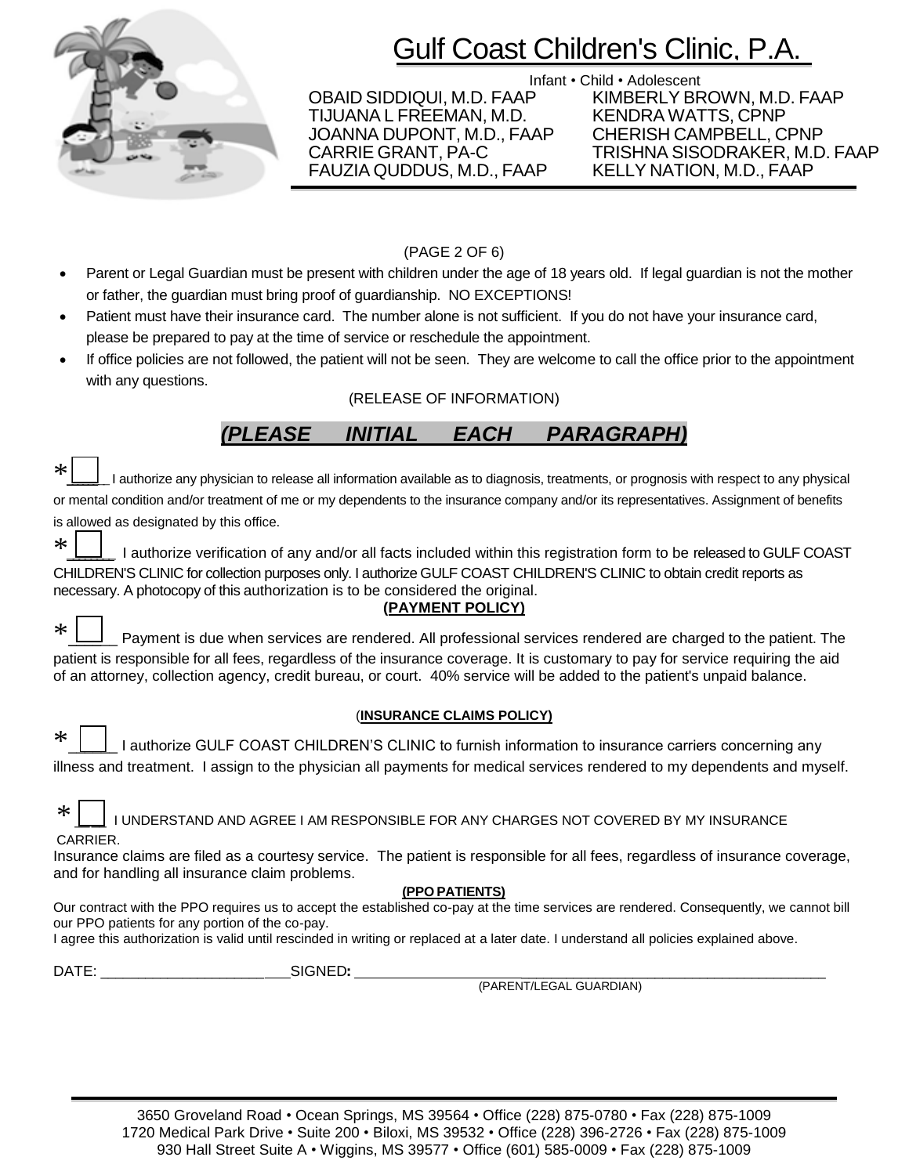

Infant • Child • Adolescent<br>OBAID SIDDIQUI, M.D. FAAP KIMBERLY BR TIJUANA L FREEMAN, M.D. JOANNA DUPONT, M.D., FAAP CHERISH CAMPBELL, CPNP FAUZIA QUDDUS, M.D., FAAP

KIMBERLY BROWN, M.D. FAAP<br>KENDRA WATTS, CPNP CARRIE GRANT, PA-C TRISHNA SISODRAKER, M.D. FAAP

### (PAGE 2 OF 6)

- Parent or Legal Guardian must be present with children under the age of 18 years old. If legal guardian is not the mother or father, the guardian must bring proof of guardianship. NO EXCEPTIONS!
- Patient must have their insurance card. The number alone is not sufficient. If you do not have your insurance card, please be prepared to pay at the time of service or reschedule the appointment.
- If office policies are not followed, the patient will not be seen. They are welcome to call the office prior to the appointment with any questions.

### (RELEASE OF INFORMATION)

## *(PLEASE INITIAL EACH PARAGRAPH)*

| $*$ $\Box$<br>I authorize any physician to release all information available as to diagnosis, treatments, or prognosis with respect to any physical |
|-----------------------------------------------------------------------------------------------------------------------------------------------------|
| or mental condition and/or treatment of me or my dependents to the insurance company and/or its representatives. Assignment of benefits             |
| is allowed as designated by this office.                                                                                                            |

\* <u>Lessa</u> I authorize verification of any and/or all facts included within this registration form to be released to GULF COAST CHILDREN'S CLINIC for collection purposes only. I authorize GULF COAST CHILDREN'S CLINIC to obtain credit reports as necessary. A photocopy of this authorization is to be considered the original.

### **(PAYMENT POLICY)**

\*\_\_\_\_\_\_ Payment is due when services are rendered. All professional services rendered are charged to the patient. The patient is responsible for all fees, regardless of the insurance coverage. It is customary to pay for service requiring the aid of an attorney, collection agency, credit bureau, or court. 40% service will be added to the patient's unpaid balance.

### (**INSURANCE CLAIMS POLICY)**

|  | A LA District and the formation to insurance carriers concerning any                                                     |  |  |  |
|--|--------------------------------------------------------------------------------------------------------------------------|--|--|--|
|  | illness and treatment. I assign to the physician all payments for medical services rendered to my dependents and myself. |  |  |  |

| CARRIER. |  |  |  |
|----------|--|--|--|

**CAR** 

Insurance claims are filed as a courtesy service. The patient is responsible for all fees, regardless of insurance coverage, and for handling all insurance claim problems.

### **(PPO PATIENTS)**

Our contract with the PPO requires us to accept the established co-pay at the time services are rendered. Consequently, we cannot bill our PPO patients for any portion of the co-pay.

I agree this authorization is valid until rescinded in writing or replaced at a later date. I understand all policies explained above.

DATE: \_\_\_\_\_\_\_\_\_\_\_\_\_\_\_\_\_\_\_\_\_\_ SIGNED: \_\_\_\_\_\_\_\_\_\_\_\_\_\_\_\_\_\_\_\_\_\_\_\_\_\_\_\_\_\_\_\_\_\_\_\_\_\_\_\_\_

(PARENT/LEGAL GUARDIAN)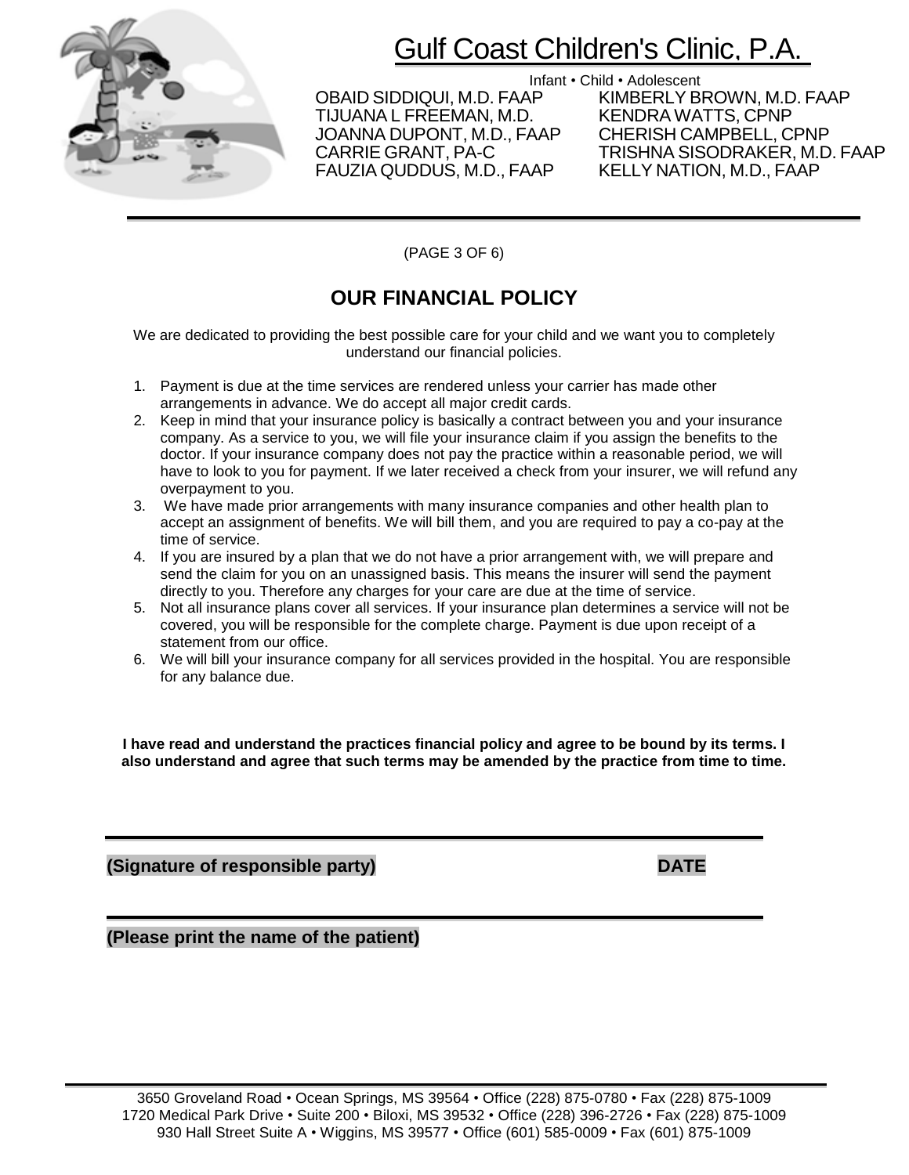

Infant • Child • Adolescent<br>CBAID SIDDIQUI, M.D. FAAP KIMBERLY BI TIJUANA L FREEMAN, M.D. KENDRA WATTS, CPNP JOANNA DUPONT, M.D., FAAP<br>CARRIE GRANT, PA-C FAUZIA QUDDUS, M.D., FAAP

KIMBERLY BROWN, M.D. FAAP<br>KENDRA WATTS, CPNP TRISHNA SISODRAKER, M.D. FAAP<br>KELLY NATION, M.D., FAAP

(PAGE 3 OF 6)

## **OUR FINANCIAL POLICY**

We are dedicated to providing the best possible care for your child and we want you to completely understand our financial policies.

- 1. Payment is due at the time services are rendered unless your carrier has made other arrangements in advance. We do accept all major credit cards.
- 2. Keep in mind that your insurance policy is basically a contract between you and your insurance company. As a service to you, we will file your insurance claim if you assign the benefits to the doctor. If your insurance company does not pay the practice within a reasonable period, we will have to look to you for payment. If we later received a check from your insurer, we will refund any overpayment to you.
- 3. We have made prior arrangements with many insurance companies and other health plan to accept an assignment of benefits. We will bill them, and you are required to pay a co-pay at the time of service.
- 4. If you are insured by a plan that we do not have a prior arrangement with, we will prepare and send the claim for you on an unassigned basis. This means the insurer will send the payment directly to you. Therefore any charges for your care are due at the time of service.
- 5. Not all insurance plans cover all services. If your insurance plan determines a service will not be covered, you will be responsible for the complete charge. Payment is due upon receipt of a statement from our office.
- 6. We will bill your insurance company for all services provided in the hospital. You are responsible for any balance due.

**I have read and understand the practices financial policy and agree to be bound by its terms. I also understand and agree that such terms may be amended by the practice from time to time.**

**(Signature of responsible party)****DATE**

**(Please print the name of the patient)**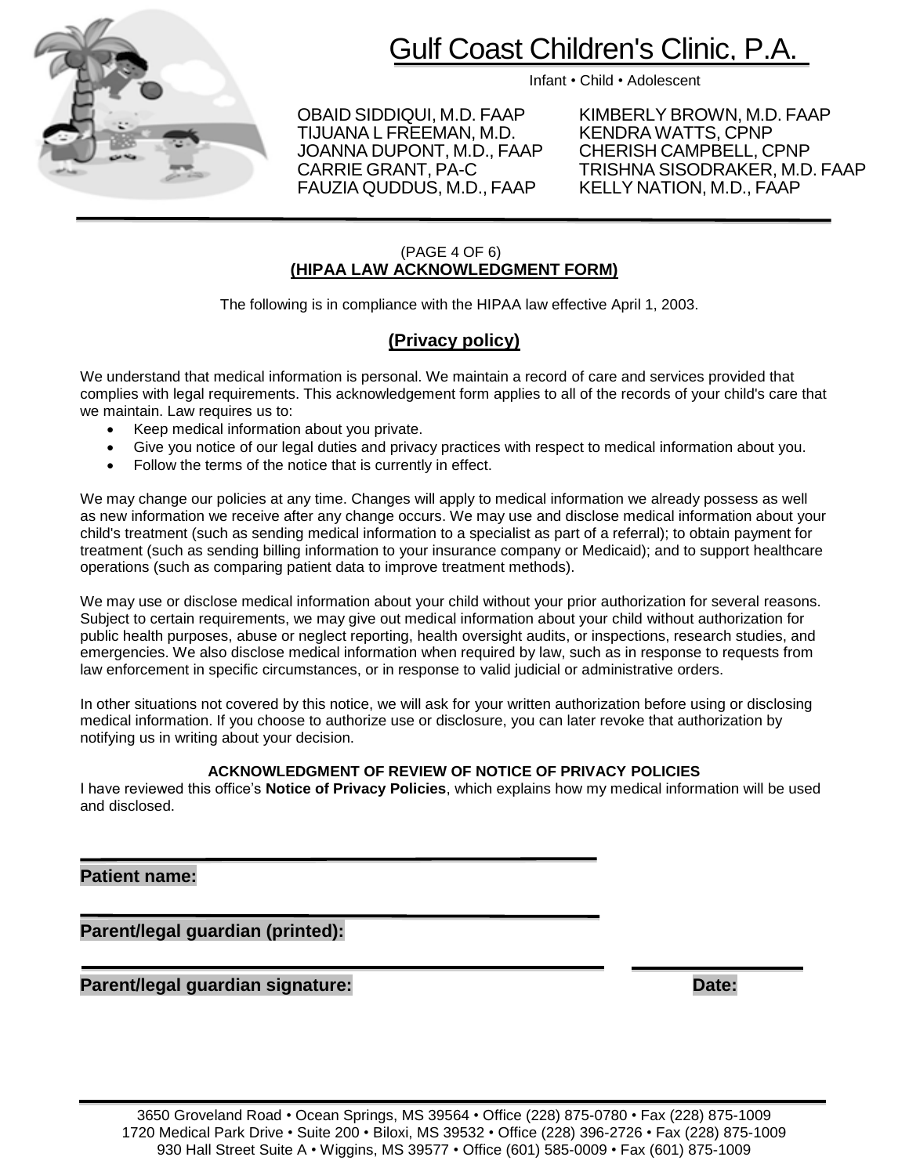

Infant • Child • Adolescent

TIJUANA L FREEMAN, M.D. KENDRA WATTS, CPNP<br>JOANNA DUPONT, M.D., FAAP CHERISH CAMPBELL, CPNP JOANNA DUPONT, M.D., FAAP FAUZIA QUDDUS, M.D., FAAP

OBAID SIDDIQUI, M.D. FAAP KIMBERLY BROWN, M.D. FAAP<br>TIJUANA L FREEMAN. M.D. KENDRA WATTS. CPNP CARRIE GRANT, PA-C TRISHNA SISODRAKER, M.D. FAAP

### (PAGE 4 OF 6) **(HIPAA LAW ACKNOWLEDGMENT FORM)**

The following is in compliance with the HIPAA law effective April 1, 2003.

### **(Privacy policy)**

We understand that medical information is personal. We maintain a record of care and services provided that complies with legal requirements. This acknowledgement form applies to all of the records of your child's care that we maintain. Law requires us to:

- Keep medical information about you private.
- Give you notice of our legal duties and privacy practices with respect to medical information about you.
- Follow the terms of the notice that is currently in effect.

We may change our policies at any time. Changes will apply to medical information we already possess as well as new information we receive after any change occurs. We may use and disclose medical information about your child's treatment (such as sending medical information to a specialist as part of a referral); to obtain payment for treatment (such as sending billing information to your insurance company or Medicaid); and to support healthcare operations (such as comparing patient data to improve treatment methods).

We may use or disclose medical information about your child without your prior authorization for several reasons. Subject to certain requirements, we may give out medical information about your child without authorization for public health purposes, abuse or neglect reporting, health oversight audits, or inspections, research studies, and emergencies. We also disclose medical information when required by law, such as in response to requests from law enforcement in specific circumstances, or in response to valid judicial or administrative orders.

In other situations not covered by this notice, we will ask for your written authorization before using or disclosing medical information. If you choose to authorize use or disclosure, you can later revoke that authorization by notifying us in writing about your decision.

### **ACKNOWLEDGMENT OF REVIEW OF NOTICE OF PRIVACY POLICIES**

I have reviewed this office's **Notice of Privacy Policies**, which explains how my medical information will be used and disclosed.

### **Patient name:**

**Parent/legal guardian (printed):**

**Parent/legal guardian signature: Date:**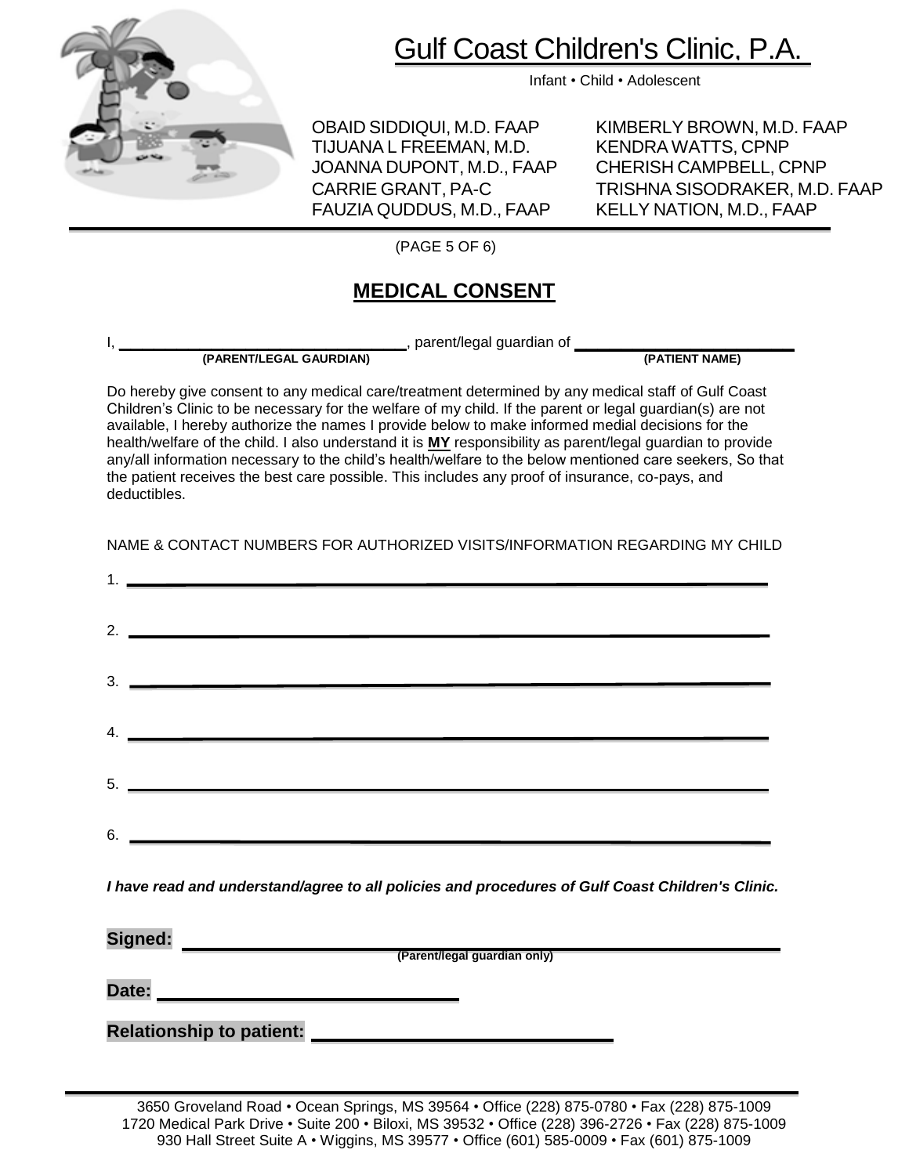

Infant • Child • Adolescent

OBAID SIDDIQUI, M.D. FAAP KIMBERLY BROWN, M.D. FAAP TIJUANA L FREEMAN, M.D. KENDRA WATTS, CPNP JOANNA DUPONT, M.D., FAAP CHERISH CAMPBELL, CPNP FAUZIA QUDDUS, M.D., FAAP KELLY NATION, M.D., FAAP

CARRIE GRANT, PA-C TRISHNA SISODRAKER, M.D. FAAP

(PAGE 5 OF 6)

## **MEDICAL CONSENT**

**(PARENT/LEGAL GAURDIAN) (PATIENT NAME)**

I, \_\_\_\_\_\_\_\_\_\_\_\_\_\_\_\_\_\_\_\_\_\_\_\_\_, parent/legal guardian of **\_\_\_\_\_\_\_\_\_\_\_\_\_\_\_\_\_\_\_**

Do hereby give consent to any medical care/treatment determined by any medical staff of Gulf Coast Children's Clinic to be necessary for the welfare of my child. If the parent or legal guardian(s) are not available, I hereby authorize the names I provide below to make informed medial decisions for the health/welfare of the child. I also understand it is **MY** responsibility as parent/legal guardian to provide any/all information necessary to the child's health/welfare to the below mentioned care seekers, So that the patient receives the best care possible. This includes any proof of insurance, co-pays, and deductibles.

NAME & CONTACT NUMBERS FOR AUTHORIZED VISITS/INFORMATION REGARDING MY CHILD

| $3.$ $\overline{\phantom{a}}$ |
|-------------------------------|
| $\overline{a}$ .              |
| $5.$ $\overline{\phantom{a}}$ |
|                               |
| 6. $\overline{\phantom{a}}$   |

*I have read and understand/agree to all policies and procedures of Gulf Coast Children's Clinic.*

| Signed: |                                 |
|---------|---------------------------------|
|         | (Parent/legal guardian only)    |
| Date:   |                                 |
|         | <b>Relationship to patient:</b> |